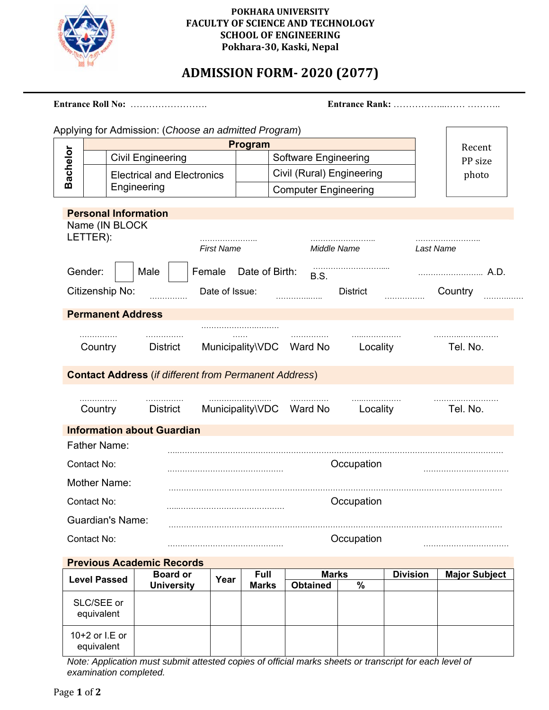

### **POKHARA UNIVERSITY FACULTY OF SCIENCE AND TECHNOLOGY SCHOOL OF ENGINEERING Pokhara‐30, Kaski, Nepal**

# **ADMISSION FORM‐ 2020 (2077)**

|                            |                          |                                   |                                                                   |                             |                          | Applying for Admission: (Choose an admitted Program) |                 |                 |                 |                      |
|----------------------------|--------------------------|-----------------------------------|-------------------------------------------------------------------|-----------------------------|--------------------------|------------------------------------------------------|-----------------|-----------------|-----------------|----------------------|
|                            |                          |                                   |                                                                   |                             |                          |                                                      |                 |                 |                 |                      |
|                            |                          |                                   |                                                                   |                             |                          | Program                                              |                 |                 |                 | Recent               |
|                            |                          |                                   | <b>Civil Engineering</b>                                          |                             |                          | <b>Software Engineering</b>                          |                 |                 |                 | PP size              |
| Bachelor                   |                          | <b>Electrical and Electronics</b> |                                                                   |                             |                          | Civil (Rural) Engineering                            |                 |                 |                 | photo                |
| Engineering                |                          |                                   |                                                                   | <b>Computer Engineering</b> |                          |                                                      |                 |                 |                 |                      |
|                            | LETTER):                 | Name (IN BLOCK                    | <b>Personal Information</b>                                       |                             |                          |                                                      |                 |                 |                 |                      |
|                            |                          |                                   |                                                                   |                             | <b>First Name</b>        |                                                      | Middle Name     |                 | Last Name       |                      |
|                            | Gender:                  |                                   | Male                                                              |                             | Female                   | Date of Birth:                                       | <b>B.S.</b>     |                 |                 | A.D.                 |
|                            |                          | Citizenship No:                   |                                                                   |                             | Date of Issue:           |                                                      |                 | <b>District</b> |                 | Country              |
|                            |                          |                                   | <b>Permanent Address</b>                                          |                             |                          |                                                      |                 |                 |                 |                      |
|                            | .                        |                                   | .                                                                 |                             | .                        |                                                      | .               | .               |                 |                      |
| Country<br><b>District</b> |                          |                                   |                                                                   |                             | Municipality\VDC Ward No | Locality                                             |                 | Tel. No.        |                 |                      |
|                            | .                        |                                   | <b>Contact Address (if different from Permanent Address)</b><br>. |                             |                          |                                                      |                 |                 |                 |                      |
|                            | Country                  |                                   | <b>District</b><br><b>Information about Guardian</b>              |                             |                          | Municipality\VDC                                     | Ward No         | Locality        |                 | Tel. No.             |
|                            | <b>Father Name:</b>      |                                   |                                                                   |                             |                          |                                                      |                 |                 |                 |                      |
|                            | Contact No:              |                                   |                                                                   |                             |                          |                                                      |                 | Occupation      |                 |                      |
|                            |                          | <b>Mother Name:</b>               |                                                                   |                             |                          |                                                      |                 |                 |                 |                      |
|                            |                          |                                   |                                                                   |                             |                          |                                                      |                 |                 |                 |                      |
|                            | Contact No:              |                                   |                                                                   |                             |                          |                                                      |                 | Occupation      |                 |                      |
|                            | Contact No:              | <b>Guardian's Name:</b>           |                                                                   |                             |                          |                                                      |                 | Occupation      |                 |                      |
|                            |                          |                                   |                                                                   |                             |                          |                                                      |                 |                 |                 |                      |
|                            |                          |                                   | <b>Previous Academic Records</b><br><b>Board or</b>               |                             |                          | <b>Full</b>                                          | <b>Marks</b>    |                 | <b>Division</b> | <b>Major Subject</b> |
|                            | <b>Level Passed</b>      |                                   | <b>University</b>                                                 |                             | Year                     | <b>Marks</b>                                         | <b>Obtained</b> | $\%$            |                 |                      |
|                            | SLC/SEE or<br>equivalent |                                   |                                                                   |                             |                          |                                                      |                 |                 |                 |                      |

| <b>Previous Academic Records</b> |                   |      |              |                 |   |                 |                      |
|----------------------------------|-------------------|------|--------------|-----------------|---|-----------------|----------------------|
| <b>Level Passed</b>              | <b>Board or</b>   | Year | <b>Full</b>  | <b>Marks</b>    |   | <b>Division</b> | <b>Major Subject</b> |
|                                  | <b>University</b> |      | <b>Marks</b> | <b>Obtained</b> | % |                 |                      |
| SLC/SEE or<br>equivalent         |                   |      |              |                 |   |                 |                      |
| 10+2 or $LE$ or<br>equivalent    |                   |      |              |                 |   |                 |                      |